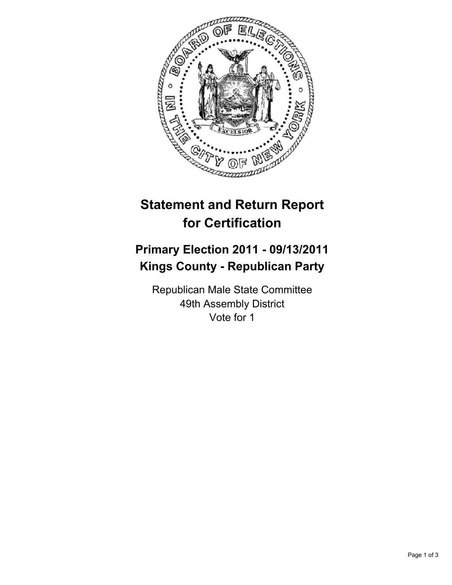

## **Statement and Return Report for Certification**

## **Primary Election 2011 - 09/13/2011 Kings County - Republican Party**

Republican Male State Committee 49th Assembly District Vote for 1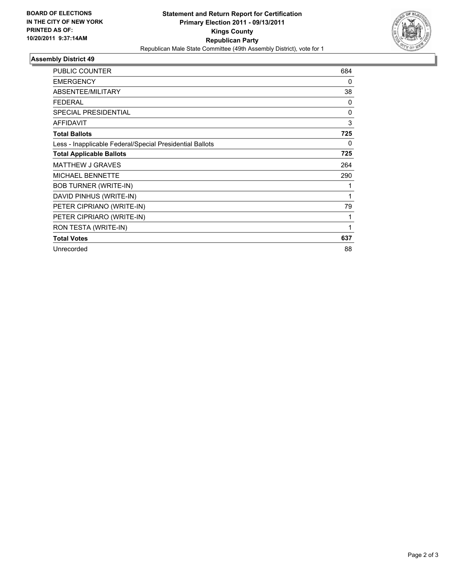

## **Assembly District 49**

| <b>PUBLIC COUNTER</b>                                    | 684          |
|----------------------------------------------------------|--------------|
| <b>EMERGENCY</b>                                         | 0            |
| ABSENTEE/MILITARY                                        | 38           |
| <b>FEDERAL</b>                                           | 0            |
| <b>SPECIAL PRESIDENTIAL</b>                              | $\Omega$     |
| <b>AFFIDAVIT</b>                                         | 3            |
| <b>Total Ballots</b>                                     | 725          |
| Less - Inapplicable Federal/Special Presidential Ballots | 0            |
| <b>Total Applicable Ballots</b>                          | 725          |
| <b>MATTHEW J GRAVES</b>                                  | 264          |
| MICHAEL BENNETTE                                         | 290          |
| <b>BOB TURNER (WRITE-IN)</b>                             | 1            |
| DAVID PINHUS (WRITE-IN)                                  | 1            |
| PETER CIPRIANO (WRITE-IN)                                | 79           |
| PETER CIPRIARO (WRITE-IN)                                | 1            |
| RON TESTA (WRITE-IN)                                     | $\mathbf{1}$ |
| <b>Total Votes</b>                                       | 637          |
| Unrecorded                                               | 88           |